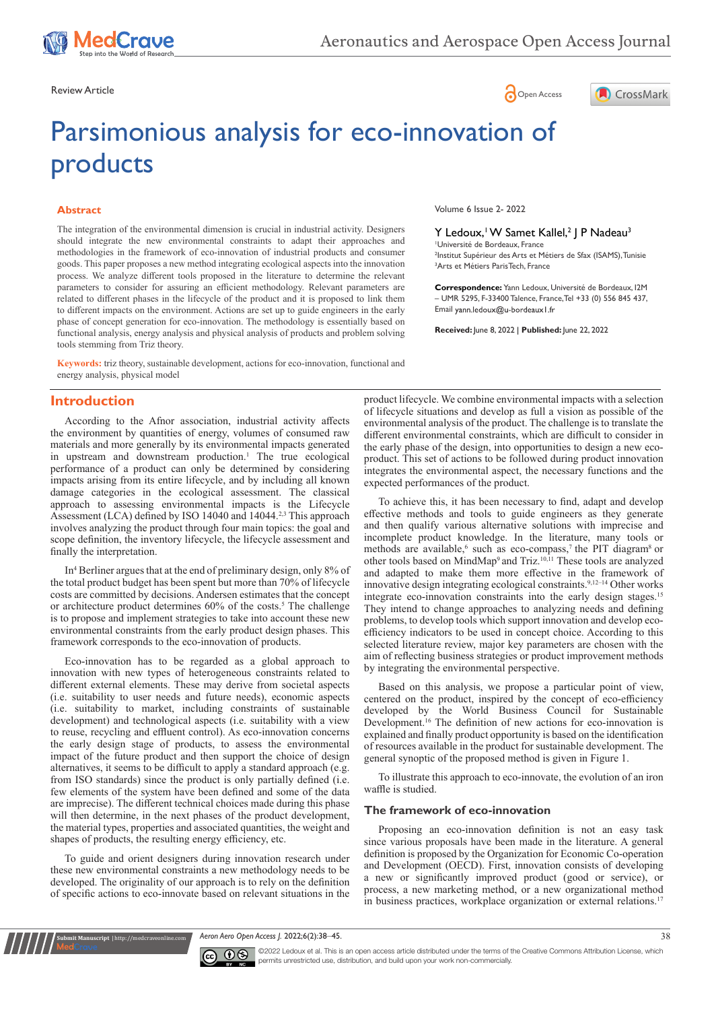

Review Article **Contracts** Contracts and Contracts Contracts Contracts Contracts Contracts Contracts Contracts Contracts Contracts Contracts Contracts Contracts Contracts Contracts Contracts Contracts Contracts Contracts C

# Parsimonious analysis for eco-innovation of products

#### **Abstract**

The integration of the environmental dimension is crucial in industrial activity. Designers should integrate the new environmental constraints to adapt their approaches and methodologies in the framework of eco-innovation of industrial products and consumer goods. This paper proposes a new method integrating ecological aspects into the innovation process. We analyze different tools proposed in the literature to determine the relevant parameters to consider for assuring an efficient methodology. Relevant parameters are related to different phases in the lifecycle of the product and it is proposed to link them to different impacts on the environment. Actions are set up to guide engineers in the early phase of concept generation for eco-innovation. The methodology is essentially based on functional analysis, energy analysis and physical analysis of products and problem solving tools stemming from Triz theory.

**Keywords:** triz theory, sustainable development, actions for eco-innovation, functional and energy analysis, physical model

## **Introduction**

According to the Afnor association, industrial activity affects the environment by quantities of energy, volumes of consumed raw materials and more generally by its environmental impacts generated in upstream and downstream production.<sup>1</sup> The true ecological performance of a product can only be determined by considering impacts arising from its entire lifecycle, and by including all known damage categories in the ecological assessment. The classical approach to assessing environmental impacts is the Lifecycle Assessment (LCA) defined by ISO 14040 and 14044.<sup>2,3</sup> This approach involves analyzing the product through four main topics: the goal and scope definition, the inventory lifecycle, the lifecycle assessment and finally the interpretation.

In4 Berliner argues that at the end of preliminary design, only 8% of the total product budget has been spent but more than 70% of lifecycle costs are committed by decisions. Andersen estimates that the concept or architecture product determines 60% of the costs.<sup>5</sup> The challenge is to propose and implement strategies to take into account these new environmental constraints from the early product design phases. This framework corresponds to the eco-innovation of products.

Eco-innovation has to be regarded as a global approach to innovation with new types of heterogeneous constraints related to different external elements. These may derive from societal aspects (i.e. suitability to user needs and future needs), economic aspects (i.e. suitability to market, including constraints of sustainable development) and technological aspects (i.e. suitability with a view to reuse, recycling and effluent control). As eco-innovation concerns the early design stage of products, to assess the environmental impact of the future product and then support the choice of design alternatives, it seems to be difficult to apply a standard approach (e.g. from ISO standards) since the product is only partially defined (i.e. few elements of the system have been defined and some of the data are imprecise). The different technical choices made during this phase will then determine, in the next phases of the product development, the material types, properties and associated quantities, the weight and shapes of products, the resulting energy efficiency, etc.

To guide and orient designers during innovation research under these new environmental constraints a new methodology needs to be developed. The originality of our approach is to rely on the definition of specific actions to eco-innovate based on relevant situations in the

**it Manuscript** | http://medcraveonline.c

Volume 6 Issue 2- 2022

#### Y Ledoux, W Samet Kallel,<sup>2</sup> J P Nadeau<sup>3</sup>

1 Université de Bordeaux, France 2 Institut Supérieur des Arts et Métiers de Sfax (ISAMS), Tunisie 3 Arts et Métiers ParisTech, France

CrossMark

**Correspondence:** Yann Ledoux, Université de Bordeaux, I2M – UMR 5295, F-33400 Talence, France,Tel +33 (0) 556 845 437, Email yann.ledoux@u-bordeaux1.fr

**Received:** June 8, 2022 | **Published:** June 22, 2022

product lifecycle. We combine environmental impacts with a selection of lifecycle situations and develop as full a vision as possible of the environmental analysis of the product. The challenge is to translate the different environmental constraints, which are difficult to consider in the early phase of the design, into opportunities to design a new ecoproduct. This set of actions to be followed during product innovation integrates the environmental aspect, the necessary functions and the expected performances of the product.

To achieve this, it has been necessary to find, adapt and develop effective methods and tools to guide engineers as they generate and then qualify various alternative solutions with imprecise and incomplete product knowledge. In the literature, many tools or methods are available,<sup>6</sup> such as eco-compass,<sup>7</sup> the PIT diagram<sup>8</sup> or other tools based on MindMap9 and Triz.10,11 These tools are analyzed and adapted to make them more effective in the framework of innovative design integrating ecological constraints.9,12–14 Other works integrate eco-innovation constraints into the early design stages.15 They intend to change approaches to analyzing needs and defining problems, to develop tools which support innovation and develop ecoefficiency indicators to be used in concept choice. According to this selected literature review, major key parameters are chosen with the aim of reflecting business strategies or product improvement methods by integrating the environmental perspective.

Based on this analysis, we propose a particular point of view, centered on the product, inspired by the concept of eco-efficiency developed by the World Business Council for Sustainable Development.<sup>16</sup> The definition of new actions for eco-innovation is explained and finally product opportunity is based on the identification of resources available in the product for sustainable development. The general synoptic of the proposed method is given in Figure 1.

To illustrate this approach to eco-innovate, the evolution of an iron waffle is studied.

#### **The framework of eco-innovation**

Proposing an eco-innovation definition is not an easy task since various proposals have been made in the literature. A general definition is proposed by the Organization for Economic Co-operation and Development (OECD). First, innovation consists of developing a new or significantly improved product (good or service), or process, a new marketing method, or a new organizational method in business practices, workplace organization or external relations.<sup>17</sup>

*Aeron Aero Open Access J.* 2022;6(2):38‒45. 38



©2022 Ledoux et al. This is an open access article distributed under the terms of the Creative Commons Attribution License, which permits unrestricted use, distribution, and build upon your work non-commercially.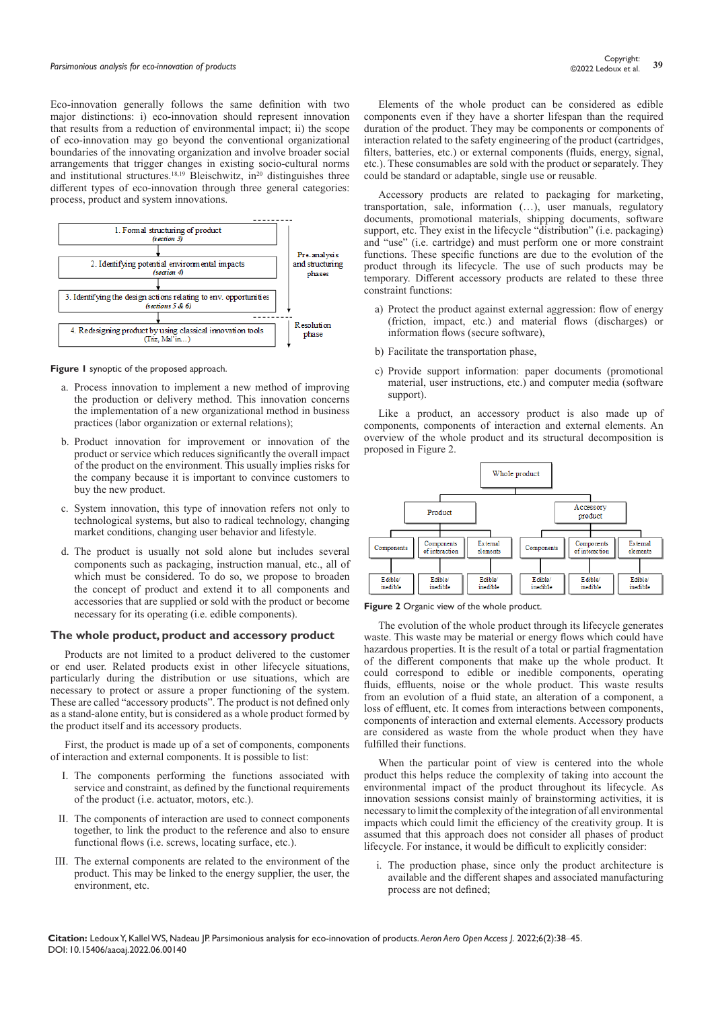Eco-innovation generally follows the same definition with two major distinctions: i) eco-innovation should represent innovation that results from a reduction of environmental impact; ii) the scope of eco-innovation may go beyond the conventional organizational boundaries of the innovating organization and involve broader social arrangements that trigger changes in existing socio-cultural norms and institutional structures.<sup>18,19</sup> Bleischwitz, in<sup>20</sup> distinguishes three different types of eco-innovation through three general categories: process, product and system innovations.



**Figure 1** synoptic of the proposed approach.

- a. Process innovation to implement a new method of improving the production or delivery method. This innovation concerns the implementation of a new organizational method in business practices (labor organization or external relations);
- b. Product innovation for improvement or innovation of the product or service which reduces significantly the overall impact of the product on the environment. This usually implies risks for the company because it is important to convince customers to buy the new product.
- c. System innovation, this type of innovation refers not only to technological systems, but also to radical technology, changing market conditions, changing user behavior and lifestyle.
- d. The product is usually not sold alone but includes several components such as packaging, instruction manual, etc., all of which must be considered. To do so, we propose to broaden the concept of product and extend it to all components and accessories that are supplied or sold with the product or become necessary for its operating (i.e. edible components).

#### **The whole product, product and accessory product**

Products are not limited to a product delivered to the customer or end user. Related products exist in other lifecycle situations, particularly during the distribution or use situations, which are necessary to protect or assure a proper functioning of the system. These are called "accessory products". The product is not defined only as a stand-alone entity, but is considered as a whole product formed by the product itself and its accessory products.

First, the product is made up of a set of components, components of interaction and external components. It is possible to list:

- I. The components performing the functions associated with service and constraint, as defined by the functional requirements of the product (i.e. actuator, motors, etc.).
- II. The components of interaction are used to connect components together, to link the product to the reference and also to ensure functional flows (i.e. screws, locating surface, etc.).
- III. The external components are related to the environment of the product. This may be linked to the energy supplier, the user, the environment, etc.

Elements of the whole product can be considered as edible components even if they have a shorter lifespan than the required duration of the product. They may be components or components of interaction related to the safety engineering of the product (cartridges, filters, batteries, etc.) or external components (fluids, energy, signal, etc.). These consumables are sold with the product or separately. They could be standard or adaptable, single use or reusable.

Accessory products are related to packaging for marketing, transportation, sale, information (…), user manuals, regulatory documents, promotional materials, shipping documents, software support, etc. They exist in the lifecycle "distribution" (i.e. packaging) and "use" (i.e. cartridge) and must perform one or more constraint functions. These specific functions are due to the evolution of the product through its lifecycle. The use of such products may be temporary. Different accessory products are related to these three constraint functions:

- a) Protect the product against external aggression: flow of energy (friction, impact, etc.) and material flows (discharges) or information flows (secure software),
- b) Facilitate the transportation phase,
- c) Provide support information: paper documents (promotional material, user instructions, etc.) and computer media (software support).

Like a product, an accessory product is also made up of components, components of interaction and external elements. An overview of the whole product and its structural decomposition is proposed in Figure 2.



#### **Figure 2** Organic view of the whole product.

The evolution of the whole product through its lifecycle generates waste. This waste may be material or energy flows which could have hazardous properties. It is the result of a total or partial fragmentation of the different components that make up the whole product. It could correspond to edible or inedible components, operating fluids, effluents, noise or the whole product. This waste results from an evolution of a fluid state, an alteration of a component, a loss of effluent, etc. It comes from interactions between components, components of interaction and external elements. Accessory products are considered as waste from the whole product when they have fulfilled their functions.

When the particular point of view is centered into the whole product this helps reduce the complexity of taking into account the environmental impact of the product throughout its lifecycle. As innovation sessions consist mainly of brainstorming activities, it is necessary to limit the complexity of the integration of all environmental impacts which could limit the efficiency of the creativity group. It is assumed that this approach does not consider all phases of product lifecycle. For instance, it would be difficult to explicitly consider:

i. The production phase, since only the product architecture is available and the different shapes and associated manufacturing process are not defined;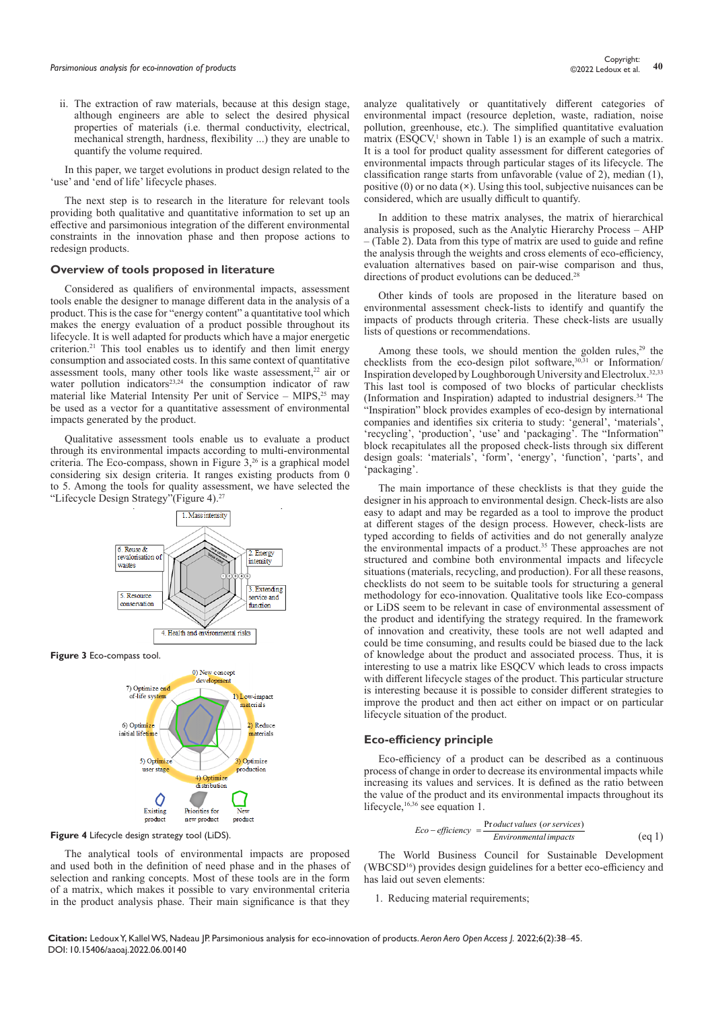ii. The extraction of raw materials, because at this design stage, although engineers are able to select the desired physical properties of materials (i.e. thermal conductivity, electrical, mechanical strength, hardness, flexibility ...) they are unable to quantify the volume required.

In this paper, we target evolutions in product design related to the 'use' and 'end of life' lifecycle phases.

The next step is to research in the literature for relevant tools providing both qualitative and quantitative information to set up an effective and parsimonious integration of the different environmental constraints in the innovation phase and then propose actions to redesign products.

#### **Overview of tools proposed in literature**

Considered as qualifiers of environmental impacts, assessment tools enable the designer to manage different data in the analysis of a product. This is the case for "energy content" a quantitative tool which makes the energy evaluation of a product possible throughout its lifecycle. It is well adapted for products which have a major energetic criterion.<sup>21</sup> This tool enables us to identify and then limit energy consumption and associated costs. In this same context of quantitative assessment tools, many other tools like waste assessment,<sup>22</sup> air or water pollution indicators<sup>23,24</sup> the consumption indicator of raw material like Material Intensity Per unit of Service – MIPS, $25$  may be used as a vector for a quantitative assessment of environmental impacts generated by the product.

Qualitative assessment tools enable us to evaluate a product through its environmental impacts according to multi-environmental criteria. The Eco-compass, shown in Figure  $3,26$  is a graphical model considering six design criteria. It ranges existing products from 0 to 5. Among the tools for quality assessment, we have selected the "Lifecycle Design Strategy"(Figure 4).<sup>27</sup>



**Figure 3** Eco-compass tool.



**Figure 4** Lifecycle design strategy tool (LiDS).

The analytical tools of environmental impacts are proposed and used both in the definition of need phase and in the phases of selection and ranking concepts. Most of these tools are in the form of a matrix, which makes it possible to vary environmental criteria in the product analysis phase. Their main significance is that they

analyze qualitatively or quantitatively different categories of environmental impact (resource depletion, waste, radiation, noise pollution, greenhouse, etc.). The simplified quantitative evaluation matrix (ESQCV,<sup>1</sup> shown in Table 1) is an example of such a matrix. It is a tool for product quality assessment for different categories of environmental impacts through particular stages of its lifecycle. The classification range starts from unfavorable (value of 2), median (1), positive (0) or no data (**×**). Using this tool, subjective nuisances can be considered, which are usually difficult to quantify.

In addition to these matrix analyses, the matrix of hierarchical analysis is proposed, such as the Analytic Hierarchy Process – AHP – (Table 2). Data from this type of matrix are used to guide and refine the analysis through the weights and cross elements of eco-efficiency, evaluation alternatives based on pair-wise comparison and thus, directions of product evolutions can be deduced.<sup>28</sup>

Other kinds of tools are proposed in the literature based on environmental assessment check-lists to identify and quantify the impacts of products through criteria. These check-lists are usually lists of questions or recommendations.

Among these tools, we should mention the golden rules, $29$  the checklists from the eco-design pilot software,<sup>30,31</sup> or Information/ Inspiration developed by Loughborough University and Electrolux.32,33 This last tool is composed of two blocks of particular checklists (Information and Inspiration) adapted to industrial designers.34 The "Inspiration" block provides examples of eco-design by international companies and identifies six criteria to study: 'general', 'materials', 'recycling', 'production', 'use' and 'packaging'. The "Information" block recapitulates all the proposed check-lists through six different design goals: 'materials', 'form', 'energy', 'function', 'parts', and 'packaging'.

The main importance of these checklists is that they guide the designer in his approach to environmental design. Check-lists are also easy to adapt and may be regarded as a tool to improve the product at different stages of the design process. However, check-lists are typed according to fields of activities and do not generally analyze the environmental impacts of a product.35 These approaches are not structured and combine both environmental impacts and lifecycle situations (materials, recycling, and production). For all these reasons, checklists do not seem to be suitable tools for structuring a general methodology for eco-innovation. Qualitative tools like Eco-compass or LiDS seem to be relevant in case of environmental assessment of the product and identifying the strategy required. In the framework of innovation and creativity, these tools are not well adapted and could be time consuming, and results could be biased due to the lack of knowledge about the product and associated process. Thus, it is interesting to use a matrix like ESOCV which leads to cross impacts with different lifecycle stages of the product. This particular structure is interesting because it is possible to consider different strategies to improve the product and then act either on impact or on particular lifecycle situation of the product.

#### **Eco-efficiency principle**

Eco-efficiency of a product can be described as a continuous process of change in order to decrease its environmental impacts while increasing its values and services. It is defined as the ratio between the value of the product and its environmental impacts throughout its lifecycle,<sup>16,36</sup> see equation 1.

$$
Eco-efficiency = \frac{Product values (or services)}{Environmental impacts}
$$
 (eq 1)

The World Business Council for Sustainable Development (WBCSD<sup>16</sup>) provides design guidelines for a better eco-efficiency and has laid out seven elements:

1. Reducing material requirements;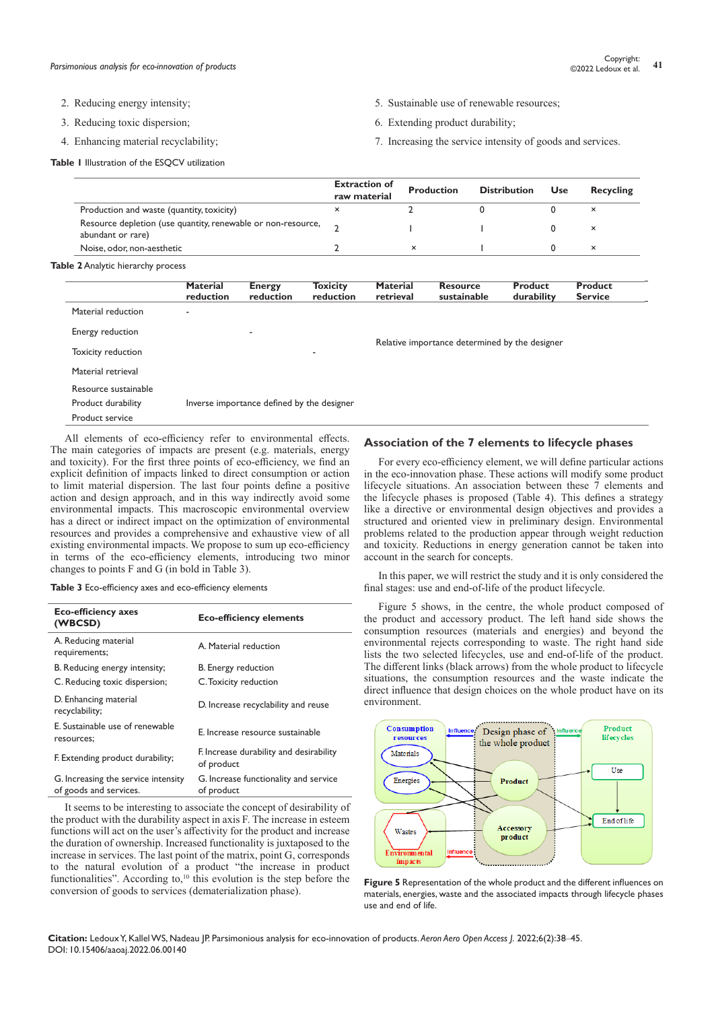- 2. Reducing energy intensity;
- 3. Reducing toxic dispersion;
- 4. Enhancing material recyclability;

**Table 1** Illustration of the ESOCV utilization

- 5. Sustainable use of renewable resources;
- 6. Extending product durability;
- 7. Increasing the service intensity of goods and services.

|                                                                                   | <b>Extraction of</b><br>raw material | Production | <b>Distribution</b> | <b>Use</b> | Recycling |
|-----------------------------------------------------------------------------------|--------------------------------------|------------|---------------------|------------|-----------|
| Production and waste (quantity, toxicity)                                         | ×                                    |            |                     |            | $\times$  |
| Resource depletion (use quantity, renewable or non-resource,<br>abundant or rare) |                                      |            |                     |            | $\times$  |
| Noise, odor, non-aesthetic                                                        |                                      |            |                     |            | $\times$  |

**Table 2** Analytic hierarchy process

|                      | <b>Material</b><br>reduction | <b>Energy</b><br>reduction                 | <b>Toxicity</b><br>reduction | <b>Material</b><br>retrieval                   | <b>Resource</b><br>sustainable | Product<br>durability | Product<br><b>Service</b> |
|----------------------|------------------------------|--------------------------------------------|------------------------------|------------------------------------------------|--------------------------------|-----------------------|---------------------------|
| Material reduction   |                              |                                            |                              |                                                |                                |                       |                           |
| Energy reduction     |                              |                                            |                              | Relative importance determined by the designer |                                |                       |                           |
| Toxicity reduction   |                              |                                            | -                            |                                                |                                |                       |                           |
| Material retrieval   |                              |                                            |                              |                                                |                                |                       |                           |
| Resource sustainable |                              |                                            |                              |                                                |                                |                       |                           |
| Product durability   |                              | Inverse importance defined by the designer |                              |                                                |                                |                       |                           |
| Product service      |                              |                                            |                              |                                                |                                |                       |                           |

All elements of eco-efficiency refer to environmental effects. The main categories of impacts are present (e.g. materials, energy and toxicity). For the first three points of eco-efficiency, we find an explicit definition of impacts linked to direct consumption or action to limit material dispersion. The last four points define a positive action and design approach, and in this way indirectly avoid some environmental impacts. This macroscopic environmental overview has a direct or indirect impact on the optimization of environmental resources and provides a comprehensive and exhaustive view of all existing environmental impacts. We propose to sum up eco-efficiency in terms of the eco-efficiency elements, introducing two minor changes to points F and G (in bold in Table 3).

**Table 3** Eco-efficiency axes and eco-efficiency elements

| <b>Eco-efficiency axes</b><br>(WBCSD)                         | <b>Eco-efficiency elements</b>                        |
|---------------------------------------------------------------|-------------------------------------------------------|
| A. Reducing material<br>requirements;                         | A. Material reduction                                 |
| B. Reducing energy intensity;                                 | B. Energy reduction                                   |
| C. Reducing toxic dispersion;                                 | C. Toxicity reduction                                 |
| D. Enhancing material<br>recyclability;                       | D. Increase recyclability and reuse                   |
| E. Sustainable use of renewable<br>resources;                 | E. Increase resource sustainable                      |
| F. Extending product durability;                              | F. Increase durability and desirability<br>of product |
| G. Increasing the service intensity<br>of goods and services. | G. Increase functionality and service<br>of product   |

It seems to be interesting to associate the concept of desirability of the product with the durability aspect in axis F. The increase in esteem functions will act on the user's affectivity for the product and increase the duration of ownership. Increased functionality is juxtaposed to the increase in services. The last point of the matrix, point G, corresponds to the natural evolution of a product "the increase in product functionalities". According to,<sup>10</sup> this evolution is the step before the conversion of goods to services (dematerialization phase).

### **Association of the 7 elements to lifecycle phases**

For every eco-efficiency element, we will define particular actions in the eco-innovation phase. These actions will modify some product lifecycle situations. An association between these 7 elements and the lifecycle phases is proposed (Table 4). This defines a strategy like a directive or environmental design objectives and provides a structured and oriented view in preliminary design. Environmental problems related to the production appear through weight reduction and toxicity. Reductions in energy generation cannot be taken into account in the search for concepts.

In this paper, we will restrict the study and it is only considered the final stages: use and end-of-life of the product lifecycle.

Figure 5 shows, in the centre, the whole product composed of the product and accessory product. The left hand side shows the consumption resources (materials and energies) and beyond the environmental rejects corresponding to waste. The right hand side lists the two selected lifecycles, use and end-of-life of the product. The different links (black arrows) from the whole product to lifecycle situations, the consumption resources and the waste indicate the direct influence that design choices on the whole product have on its environment.



**Figure 5** Representation of the whole product and the different influences on materials, energies, waste and the associated impacts through lifecycle phases use and end of life.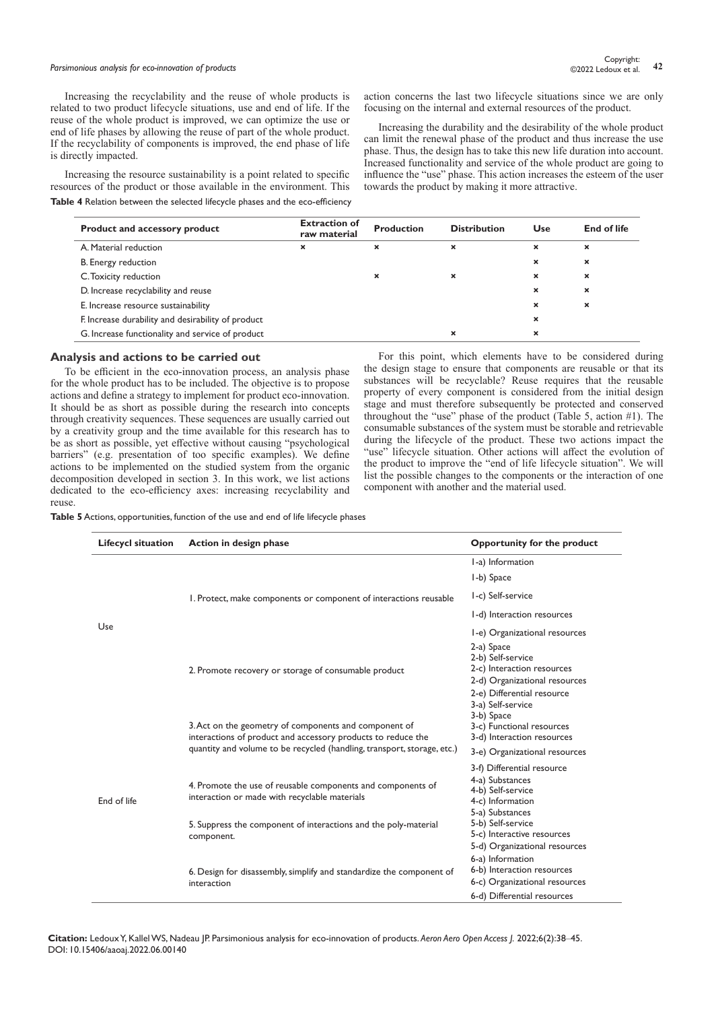# **Parsimonious analysis for eco-innovation of products 12** Copyright: **42** Copyright: **42** Copyright: **42** Copyright: **42** Copyright: **42** Constant of products **42** Constant of products **42** Constant of products **42** Cons

Increasing the recyclability and the reuse of whole products is related to two product lifecycle situations, use and end of life. If the reuse of the whole product is improved, we can optimize the use or end of life phases by allowing the reuse of part of the whole product. If the recyclability of components is improved, the end phase of life is directly impacted.

Increasing the resource sustainability is a point related to specific resources of the product or those available in the environment. This **Table 4** Relation between the selected lifecycle phases and the eco-efficiency action concerns the last two lifecycle situations since we are only focusing on the internal and external resources of the product.

Increasing the durability and the desirability of the whole product can limit the renewal phase of the product and thus increase the use phase. Thus, the design has to take this new life duration into account. Increased functionality and service of the whole product are going to influence the "use" phase. This action increases the esteem of the user towards the product by making it more attractive.

| <b>Product and accessory product</b>               | <b>Extraction of</b><br>raw material | <b>Production</b> | <b>Distribution</b>       | Use                       | End of life               |
|----------------------------------------------------|--------------------------------------|-------------------|---------------------------|---------------------------|---------------------------|
| A. Material reduction                              | ×                                    | ×                 | ×                         | $\boldsymbol{\mathsf{x}}$ | $\boldsymbol{\mathsf{x}}$ |
| B. Energy reduction                                |                                      |                   |                           | $\boldsymbol{\mathsf{x}}$ | $\boldsymbol{\mathsf{x}}$ |
| C. Toxicity reduction                              |                                      | ×                 | ×                         | $\boldsymbol{\mathsf{x}}$ | ×                         |
| D. Increase recyclability and reuse                |                                      |                   |                           | $\boldsymbol{\mathsf{x}}$ | $\boldsymbol{\mathsf{x}}$ |
| E. Increase resource sustainability                |                                      |                   |                           | $\boldsymbol{\mathsf{x}}$ | $\boldsymbol{\mathsf{x}}$ |
| F. Increase durability and desirability of product |                                      |                   |                           | ×                         |                           |
| G. Increase functionality and service of product   |                                      |                   | $\boldsymbol{\mathsf{x}}$ | $\boldsymbol{\mathsf{x}}$ |                           |

#### **Analysis and actions to be carried out**

To be efficient in the eco-innovation process, an analysis phase for the whole product has to be included. The objective is to propose actions and define a strategy to implement for product eco-innovation. It should be as short as possible during the research into concepts through creativity sequences. These sequences are usually carried out by a creativity group and the time available for this research has to be as short as possible, yet effective without causing "psychological barriers" (e.g. presentation of too specific examples). We define actions to be implemented on the studied system from the organic decomposition developed in section 3. In this work, we list actions dedicated to the eco-efficiency axes: increasing recyclability and reuse.

For this point, which elements have to be considered during the design stage to ensure that components are reusable or that its substances will be recyclable? Reuse requires that the reusable property of every component is considered from the initial design stage and must therefore subsequently be protected and conserved throughout the "use" phase of the product (Table 5, action #1). The consumable substances of the system must be storable and retrievable during the lifecycle of the product. These two actions impact the "use" lifecycle situation. Other actions will affect the evolution of the product to improve the "end of life lifecycle situation". We will list the possible changes to the components or the interaction of one component with another and the material used.

**Table 5** Actions, opportunities, function of the use and end of life lifecycle phases

| <b>Lifecycl situation</b> | Action in design phase                                                                                                                                                                           | Opportunity for the product                                                            |
|---------------------------|--------------------------------------------------------------------------------------------------------------------------------------------------------------------------------------------------|----------------------------------------------------------------------------------------|
|                           |                                                                                                                                                                                                  | I-a) Information                                                                       |
|                           |                                                                                                                                                                                                  | I-b) Space                                                                             |
|                           | I. Protect, make components or component of interactions reusable                                                                                                                                | I-c) Self-service                                                                      |
|                           |                                                                                                                                                                                                  | I-d) Interaction resources                                                             |
| Use                       |                                                                                                                                                                                                  | I-e) Organizational resources                                                          |
|                           | 2. Promote recovery or storage of consumable product                                                                                                                                             | 2-a) Space<br>2-b) Self-service<br>2-c) Interaction resources                          |
|                           |                                                                                                                                                                                                  | 2-d) Organizational resources<br>2-e) Differential resource<br>3-a) Self-service       |
|                           | 3. Act on the geometry of components and component of<br>interactions of product and accessory products to reduce the<br>quantity and volume to be recycled (handling, transport, storage, etc.) | 3-b) Space<br>3-c) Functional resources<br>3-d) Interaction resources                  |
|                           |                                                                                                                                                                                                  | 3-e) Organizational resources                                                          |
| End of life               | 4. Promote the use of reusable components and components of<br>interaction or made with recyclable materials                                                                                     | 3-f) Differential resource<br>4-a) Substances<br>4-b) Self-service<br>4-c) Information |
|                           | 5. Suppress the component of interactions and the poly-material<br>component.                                                                                                                    | 5-a) Substances<br>5-b) Self-service<br>5-c) Interactive resources                     |
|                           |                                                                                                                                                                                                  | 5-d) Organizational resources<br>6-a) Information                                      |
|                           | 6. Design for disassembly, simplify and standardize the component of<br>interaction                                                                                                              | 6-b) Interaction resources<br>6-c) Organizational resources                            |
|                           |                                                                                                                                                                                                  | 6-d) Differential resources                                                            |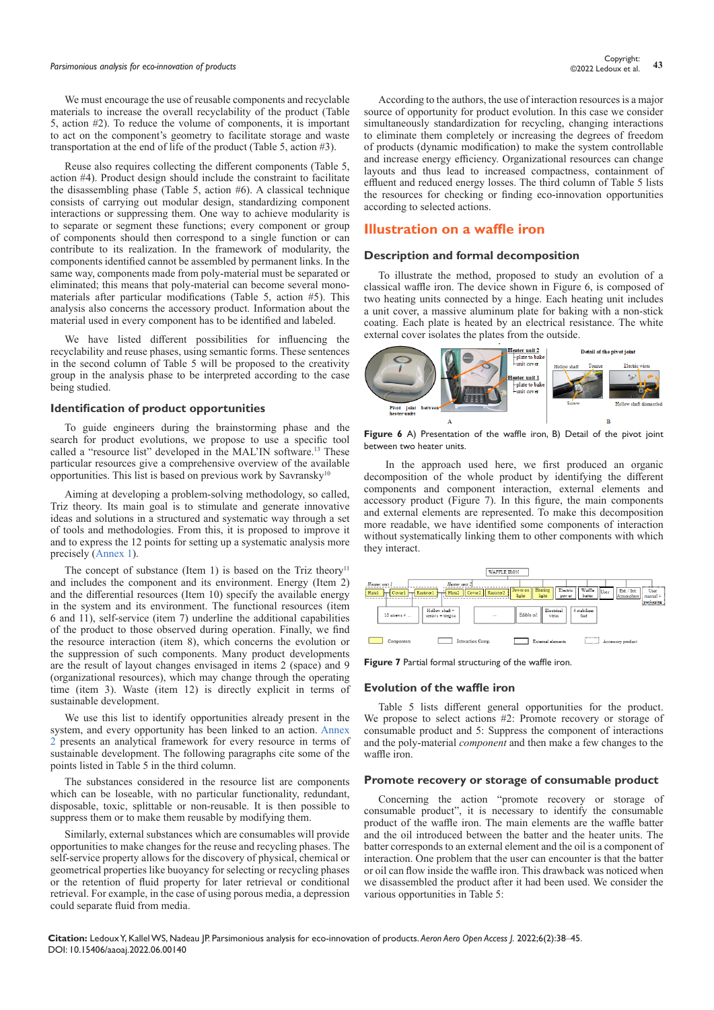# *Parsimonious analysis for eco-innovation of products* **<sup>43</sup>** Copyright:

We must encourage the use of reusable components and recyclable materials to increase the overall recyclability of the product (Table 5, action #2). To reduce the volume of components, it is important to act on the component's geometry to facilitate storage and waste transportation at the end of life of the product (Table 5, action #3).

Reuse also requires collecting the different components (Table 5, action #4). Product design should include the constraint to facilitate the disassembling phase (Table 5, action #6). A classical technique consists of carrying out modular design, standardizing component interactions or suppressing them. One way to achieve modularity is to separate or segment these functions; every component or group of components should then correspond to a single function or can contribute to its realization. In the framework of modularity, the components identified cannot be assembled by permanent links. In the same way, components made from poly-material must be separated or eliminated; this means that poly-material can become several monomaterials after particular modifications (Table 5, action #5). This analysis also concerns the accessory product. Information about the material used in every component has to be identified and labeled.

We have listed different possibilities for influencing the recyclability and reuse phases, using semantic forms. These sentences in the second column of Table 5 will be proposed to the creativity group in the analysis phase to be interpreted according to the case being studied.

#### **Identification of product opportunities**

To guide engineers during the brainstorming phase and the search for product evolutions, we propose to use a specific tool called a "resource list" developed in the MAL'IN software.<sup>13</sup> These particular resources give a comprehensive overview of the available opportunities. This list is based on previous work by Savransky<sup>10</sup>

Aiming at developing a problem-solving methodology, so called, Triz theory. Its main goal is to stimulate and generate innovative ideas and solutions in a structured and systematic way through a set of tools and methodologies. From this, it is proposed to improve it and to express the 12 points for setting up a systematic analysis more precisely ([Annex 1](https://medcraveonline.com/AAOAJ/AAOAJ-06-00140A.pdf)).

The concept of substance (Item 1) is based on the Triz theory<sup>11</sup> and includes the component and its environment. Energy (Item 2) and the differential resources (Item 10) specify the available energy in the system and its environment. The functional resources (item 6 and 11), self-service (item 7) underline the additional capabilities of the product to those observed during operation. Finally, we find the resource interaction (item 8), which concerns the evolution or the suppression of such components. Many product developments are the result of layout changes envisaged in items 2 (space) and 9 (organizational resources), which may change through the operating time (item 3). Waste (item 12) is directly explicit in terms of sustainable development.

We use this list to identify opportunities already present in the system, and every opportunity has been linked to an action. [Annex](https://medcraveonline.com/AAOAJ/AAOAJ-06-00140A.pdf)  [2](https://medcraveonline.com/AAOAJ/AAOAJ-06-00140A.pdf) presents an analytical framework for every resource in terms of sustainable development. The following paragraphs cite some of the points listed in Table 5 in the third column.

The substances considered in the resource list are components which can be loseable, with no particular functionality, redundant, disposable, toxic, splittable or non-reusable. It is then possible to suppress them or to make them reusable by modifying them.

Similarly, external substances which are consumables will provide opportunities to make changes for the reuse and recycling phases. The self-service property allows for the discovery of physical, chemical or geometrical properties like buoyancy for selecting or recycling phases or the retention of fluid property for later retrieval or conditional retrieval. For example, in the case of using porous media, a depression could separate fluid from media.

According to the authors, the use of interaction resources is a major source of opportunity for product evolution. In this case we consider simultaneously standardization for recycling, changing interactions to eliminate them completely or increasing the degrees of freedom of products (dynamic modification) to make the system controllable and increase energy efficiency. Organizational resources can change layouts and thus lead to increased compactness, containment of effluent and reduced energy losses. The third column of Table 5 lists the resources for checking or finding eco-innovation opportunities according to selected actions.

# **Illustration on a waffle iron**

#### **Description and formal decomposition**

To illustrate the method, proposed to study an evolution of a classical waffle iron. The device shown in Figure 6, is composed of two heating units connected by a hinge. Each heating unit includes a unit cover, a massive aluminum plate for baking with a non-stick coating. Each plate is heated by an electrical resistance. The white external cover isolates the plates from the outside.



**Figure 6** A) Presentation of the waffle iron, B) Detail of the pivot joint between two heater units.

 In the approach used here, we first produced an organic decomposition of the whole product by identifying the different components and component interaction, external elements and accessory product (Figure 7). In this figure, the main components and external elements are represented. To make this decomposition more readable, we have identified some components of interaction without systematically linking them to other components with which they interact.



**Figure 7** Partial formal structuring of the waffle iron.

#### **Evolution of the waffle iron**

Table 5 lists different general opportunities for the product. We propose to select actions #2: Promote recovery or storage of consumable product and 5: Suppress the component of interactions and the poly-material *component* and then make a few changes to the waffle iron.

#### **Promote recovery or storage of consumable product**

Concerning the action "promote recovery or storage of consumable product", it is necessary to identify the consumable product of the waffle iron. The main elements are the waffle batter and the oil introduced between the batter and the heater units. The batter corresponds to an external element and the oil is a component of interaction. One problem that the user can encounter is that the batter or oil can flow inside the waffle iron. This drawback was noticed when we disassembled the product after it had been used. We consider the various opportunities in Table 5: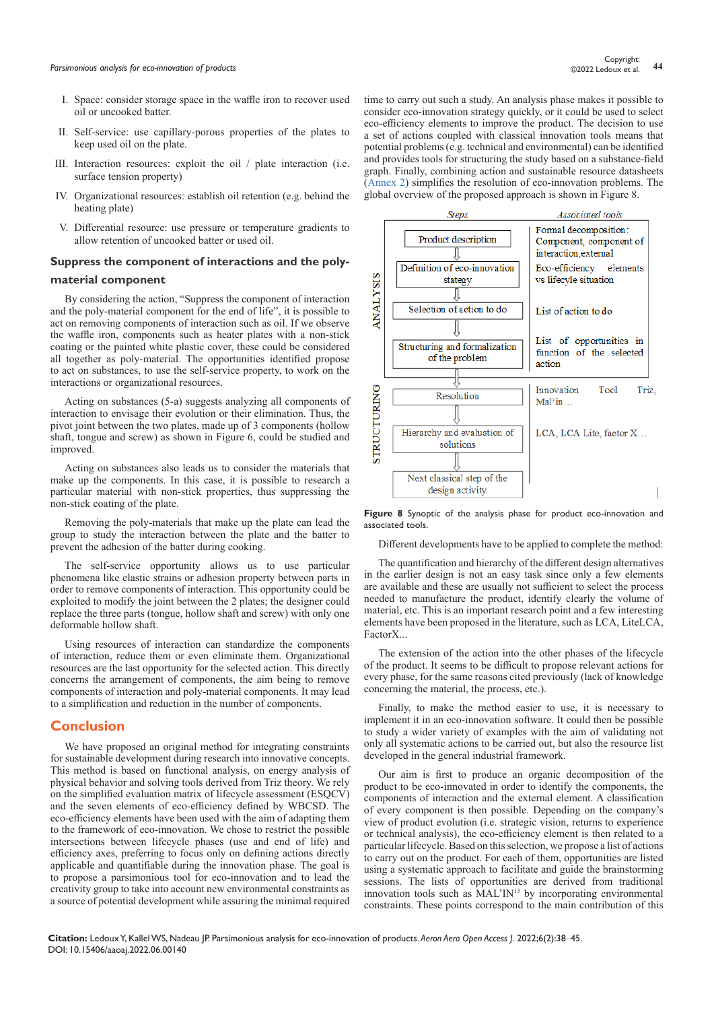- I. Space: consider storage space in the waffle iron to recover used oil or uncooked batter.
- II. Self-service: use capillary-porous properties of the plates to keep used oil on the plate.
- III. Interaction resources: exploit the oil / plate interaction (i.e. surface tension property)
- IV. Organizational resources: establish oil retention (e.g. behind the heating plate)
- V. Differential resource: use pressure or temperature gradients to allow retention of uncooked batter or used oil.

#### **Suppress the component of interactions and the poly-**

#### **material component**

By considering the action, "Suppress the component of interaction and the poly-material component for the end of life", it is possible to act on removing components of interaction such as oil. If we observe the waffle iron, components such as heater plates with a non-stick coating or the painted white plastic cover, these could be considered all together as poly-material. The opportunities identified propose to act on substances, to use the self-service property, to work on the interactions or organizational resources.

Acting on substances (5-a) suggests analyzing all components of interaction to envisage their evolution or their elimination. Thus, the pivot joint between the two plates, made up of 3 components (hollow shaft, tongue and screw) as shown in Figure 6, could be studied and improved.

Acting on substances also leads us to consider the materials that make up the components. In this case, it is possible to research a particular material with non-stick properties, thus suppressing the non-stick coating of the plate.

Removing the poly-materials that make up the plate can lead the group to study the interaction between the plate and the batter to prevent the adhesion of the batter during cooking.

The self-service opportunity allows us to use particular phenomena like elastic strains or adhesion property between parts in order to remove components of interaction. This opportunity could be exploited to modify the joint between the 2 plates; the designer could replace the three parts (tongue, hollow shaft and screw) with only one deformable hollow shaft.

Using resources of interaction can standardize the components of interaction, reduce them or even eliminate them. Organizational resources are the last opportunity for the selected action. This directly concerns the arrangement of components, the aim being to remove components of interaction and poly-material components. It may lead to a simplification and reduction in the number of components.

#### **Conclusion**

We have proposed an original method for integrating constraints for sustainable development during research into innovative concepts. This method is based on functional analysis, on energy analysis of physical behavior and solving tools derived from Triz theory. We rely on the simplified evaluation matrix of lifecycle assessment (ESQCV) and the seven elements of eco-efficiency defined by WBCSD. The eco-efficiency elements have been used with the aim of adapting them to the framework of eco-innovation. We chose to restrict the possible intersections between lifecycle phases (use and end of life) and efficiency axes, preferring to focus only on defining actions directly applicable and quantifiable during the innovation phase. The goal is to propose a parsimonious tool for eco-innovation and to lead the creativity group to take into account new environmental constraints as a source of potential development while assuring the minimal required time to carry out such a study. An analysis phase makes it possible to consider eco-innovation strategy quickly, or it could be used to select eco-efficiency elements to improve the product. The decision to use a set of actions coupled with classical innovation tools means that potential problems (e.g. technical and environmental) can be identified and provides tools for structuring the study based on a substance-field graph. Finally, combining action and sustainable resource datasheets ([Annex 2\)](https://medcraveonline.com/AAOAJ/AAOAJ-06-00140A.pdf) simplifies the resolution of eco-innovation problems. The global overview of the proposed approach is shown in Figure 8.



**Figure 8** Synoptic of the analysis phase for product eco-innovation and associated tools.

Different developments have to be applied to complete the method:

The quantification and hierarchy of the different design alternatives in the earlier design is not an easy task since only a few elements are available and these are usually not sufficient to select the process needed to manufacture the product, identify clearly the volume of material, etc. This is an important research point and a few interesting elements have been proposed in the literature, such as LCA, LiteLCA, FactorX...

The extension of the action into the other phases of the lifecycle of the product. It seems to be difficult to propose relevant actions for every phase, for the same reasons cited previously (lack of knowledge concerning the material, the process, etc.).

Finally, to make the method easier to use, it is necessary to implement it in an eco-innovation software. It could then be possible to study a wider variety of examples with the aim of validating not only all systematic actions to be carried out, but also the resource list developed in the general industrial framework.

Our aim is first to produce an organic decomposition of the product to be eco-innovated in order to identify the components, the components of interaction and the external element. A classification of every component is then possible. Depending on the company's view of product evolution (i.e. strategic vision, returns to experience or technical analysis), the eco-efficiency element is then related to a particular lifecycle. Based on this selection, we propose a list of actions to carry out on the product. For each of them, opportunities are listed using a systematic approach to facilitate and guide the brainstorming sessions. The lists of opportunities are derived from traditional innovation tools such as MAL'IN13 by incorporating environmental constraints. These points correspond to the main contribution of this